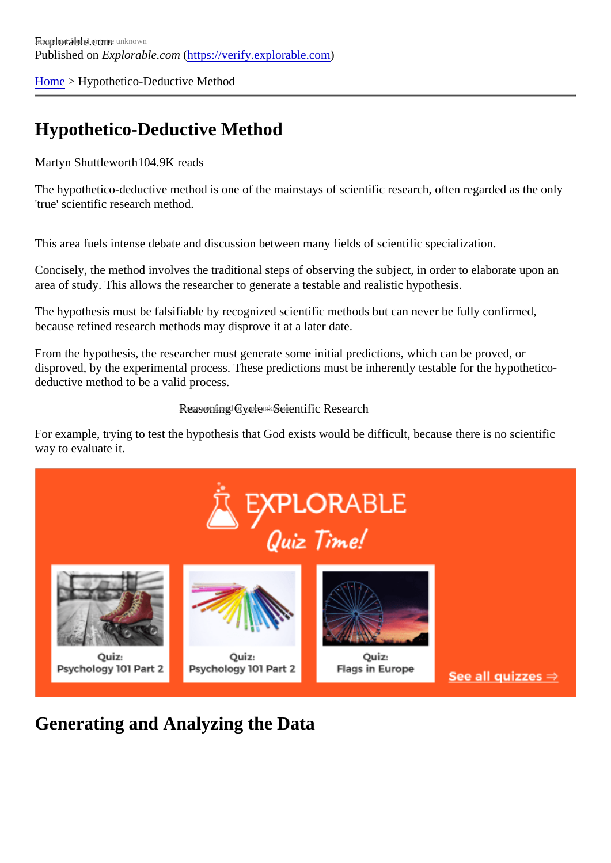[Home](https://verify.explorable.com/)> Hypothetico-Deductive Method

## Hypothetico-Deductive Method

Martyn Shuttleworth04.9K reads

The hypothetico-deductive method is one of the mainstays of scientific research, often regarded as the only 'true' scientific research method.

This area fuels intense debate and discussion between many fields of scientific specialization.

Concisely, the method involves the traditional steps of observing the subject, in order to elaborate upon an area of study. This allows the researcher to generate a testable and realistic hypothesis.

The hypothesis must be falsifiable by recognized scientific methods but can never be fully confirmed, because refined research methods may disprove it at a later date.

From the hypothesis, the researcher must generate some initial predictions, which can be proved, or disproved, by the experimental process. These predictions must be inherently testable for the hypotheticodeductive method to be a valid process.

## Reasoning Cycle - Scientific Research

For example, trying to test the hypothesis that God exists would be difficult, because there is no scientific way to evaluate it.

Generating and Analyzing the Data